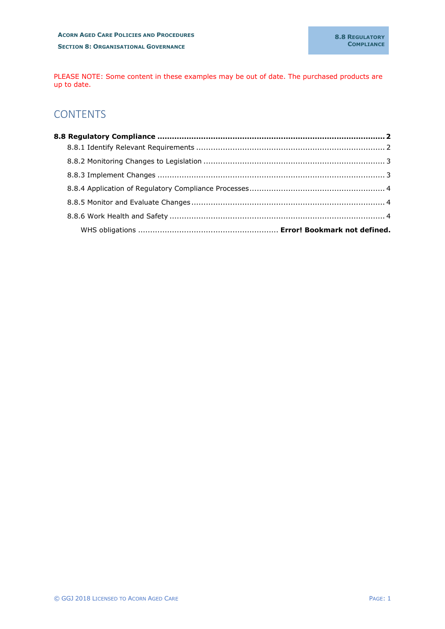PLEASE NOTE: Some content in these examples may be out of date. The purchased products are up to date.

# **CONTENTS**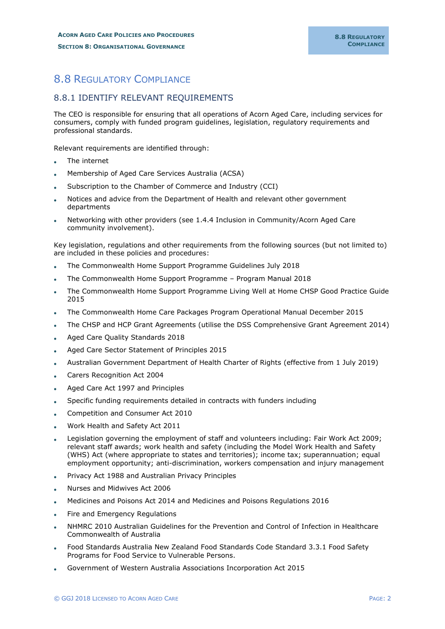# <span id="page-1-0"></span>8.8 REGULATORY COMPLIANCE

### <span id="page-1-1"></span>8.8.1 IDENTIFY RELEVANT REQUIREMENTS

The CEO is responsible for ensuring that all operations of Acorn Aged Care, including services for consumers, comply with funded program guidelines, legislation, regulatory requirements and professional standards.

Relevant requirements are identified through:

- The internet
- Membership of Aged Care Services Australia (ACSA)
- Subscription to the Chamber of Commerce and Industry (CCI)
- Notices and advice from the Department of Health and relevant other government departments
- Networking with other providers (see 1.4.4 Inclusion in Community/Acorn Aged Care community involvement).

Key legislation, regulations and other requirements from the following sources (but not limited to) are included in these policies and procedures:

- The Commonwealth Home Support Programme Guidelines July 2018
- The Commonwealth Home Support Programme Program Manual 2018
- The Commonwealth Home Support Programme Living Well at Home CHSP Good Practice Guide 2015
- The Commonwealth Home Care Packages Program Operational Manual December 2015
- The CHSP and HCP Grant Agreements (utilise the DSS Comprehensive Grant Agreement 2014)
- Aged Care Quality Standards 2018
- Aged Care Sector Statement of Principles 2015
- Australian Government Department of Health Charter of Rights (effective from 1 July 2019)
- Carers Recognition Act 2004
- Aged Care Act 1997 and Principles
- Specific funding requirements detailed in contracts with funders including
- Competition and Consumer Act 2010
- Work Health and Safety Act 2011
- Legislation governing the employment of staff and volunteers including: Fair Work Act 2009; relevant staff awards; work health and safety (including the Model Work Health and Safety (WHS) Act (where appropriate to states and territories); income tax; superannuation; equal employment opportunity; anti-discrimination, workers compensation and injury management
- Privacy Act 1988 and Australian Privacy Principles
- Nurses and Midwives Act 2006
- Medicines and Poisons Act 2014 and Medicines and Poisons Regulations 2016
- Fire and Emergency Regulations
- NHMRC 2010 Australian Guidelines for the Prevention and Control of Infection in Healthcare Commonwealth of Australia
- Food Standards Australia New Zealand Food Standards Code Standard 3.3.1 Food Safety Programs for Food Service to Vulnerable Persons.
- Government of Western Australia Associations Incorporation Act 2015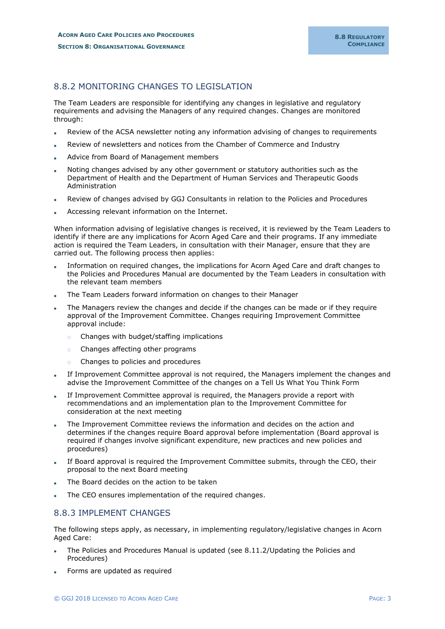## <span id="page-2-0"></span>8.8.2 MONITORING CHANGES TO LEGISLATION

The Team Leaders are responsible for identifying any changes in legislative and regulatory requirements and advising the Managers of any required changes. Changes are monitored through:

- Review of the ACSA newsletter noting any information advising of changes to requirements
- Review of newsletters and notices from the Chamber of Commerce and Industry
- Advice from Board of Management members
- Noting changes advised by any other government or statutory authorities such as the Department of Health and the Department of Human Services and Therapeutic Goods Administration
- Review of changes advised by GGJ Consultants in relation to the Policies and Procedures
- Accessing relevant information on the Internet.

When information advising of legislative changes is received, it is reviewed by the Team Leaders to identify if there are any implications for Acorn Aged Care and their programs. If any immediate action is required the Team Leaders, in consultation with their Manager, ensure that they are carried out. The following process then applies:

- Information on required changes, the implications for Acorn Aged Care and draft changes to the Policies and Procedures Manual are documented by the Team Leaders in consultation with the relevant team members
- The Team Leaders forward information on changes to their Manager
- The Managers review the changes and decide if the changes can be made or if they require approval of the Improvement Committee. Changes requiring Improvement Committee approval include:
	- o Changes with budget/staffing implications
	- o Changes affecting other programs
	- o Changes to policies and procedures
- If Improvement Committee approval is not required, the Managers implement the changes and advise the Improvement Committee of the changes on a Tell Us What You Think Form
- If Improvement Committee approval is required, the Managers provide a report with recommendations and an implementation plan to the Improvement Committee for consideration at the next meeting
- The Improvement Committee reviews the information and decides on the action and determines if the changes require Board approval before implementation (Board approval is required if changes involve significant expenditure, new practices and new policies and procedures)
- If Board approval is required the Improvement Committee submits, through the CEO, their proposal to the next Board meeting
- The Board decides on the action to be taken
- The CEO ensures implementation of the required changes.

#### <span id="page-2-1"></span>8.8.3 IMPLEMENT CHANGES

The following steps apply, as necessary, in implementing regulatory/legislative changes in Acorn Aged Care:

- The Policies and Procedures Manual is updated (see 8.11.2/Updating the Policies and Procedures)
- Forms are updated as required